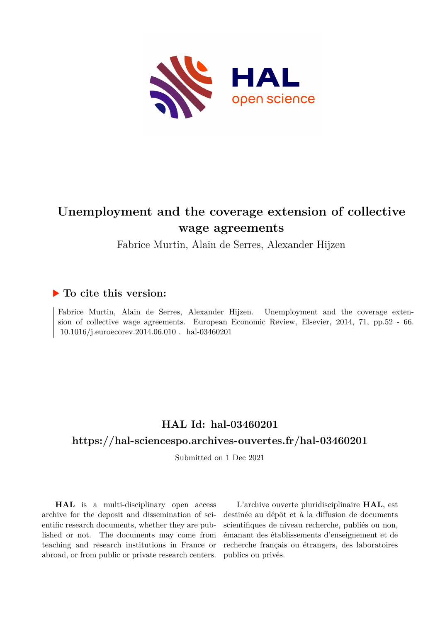

# **Unemployment and the coverage extension of collective wage agreements**

Fabrice Murtin, Alain de Serres, Alexander Hijzen

# **To cite this version:**

Fabrice Murtin, Alain de Serres, Alexander Hijzen. Unemployment and the coverage extension of collective wage agreements. European Economic Review, Elsevier, 2014, 71, pp.52 - 66.  $10.1016/j.euroecorev.2014.06.010$ . hal-03460201

# **HAL Id: hal-03460201**

# **<https://hal-sciencespo.archives-ouvertes.fr/hal-03460201>**

Submitted on 1 Dec 2021

**HAL** is a multi-disciplinary open access archive for the deposit and dissemination of scientific research documents, whether they are published or not. The documents may come from teaching and research institutions in France or abroad, or from public or private research centers.

L'archive ouverte pluridisciplinaire **HAL**, est destinée au dépôt et à la diffusion de documents scientifiques de niveau recherche, publiés ou non, émanant des établissements d'enseignement et de recherche français ou étrangers, des laboratoires publics ou privés.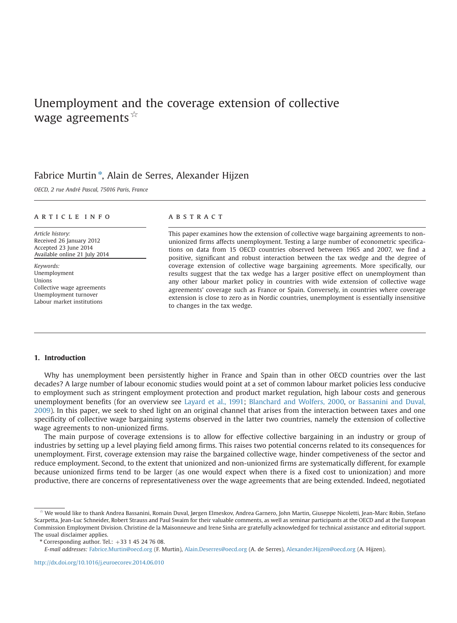# Unemployment and the coverage [extension](www.elsevier.com/locate/eer) of collective wage agreements  $\overrightarrow{x}$

# Fabrice Murtin<sup>\*</sup>, Alain de Serres, Alexander Hijzen

OECD, 2 rue André Pascal, 75016 Paris, France

## article info

Article history: Received 26 January 2012 Accepted 23 June 2014 Available online 21 July 2014

Keywords: Unemployment Unions Collective wage agreements Unemployment turnover Labour market institutions

# **ABSTRACT**

This paper examines how the extension of collective wage bargaining agreements to nonunionized firms affects unemployment. Testing a large number of econometric specifications on data from 15 OECD countries observed between 1965 and 2007, we find a positive, significant and robust interaction between the tax wedge and the degree of coverage extension of collective wage bargaining agreements. More specifically, our results suggest that the tax wedge has a larger positive effect on unemployment than any other labour market policy in countries with wide extension of collective wage agreements' coverage such as France or Spain. Conversely, in countries where coverage extension is close to zero as in Nordic countries, unemployment is essentially insensitive to changes in the tax wedge.

#### 1. Introduction

Why has unemployment been persistently higher in France and Spain than in other OECD countries over the last decades? A large number of labour economic studies would point at a set of common labour market policies less conducive to employment such as stringent employment protection and product market regulation, high labour costs and generous unemployment benefits (for an overview see Layard et al., 1991; Blanchard and Wolfers, 2000, or Bassanini and Duval, 2009). In this paper, we seek to shed light on an original channel that arises from the interaction between taxes and one specificity of collective wage bargaining systems observed in the latter two countries, namely the extension of collective wage agreements to non-unionized firms.

The main purpose of coverage extensions is to allow for effective collective bargaining in an industry or group of industries by setting up a level playing field among firms. This raises two potential concerns related to its consequences for unemployment. First, coverage extension may raise the bargained collective wage, hinder competiveness of the sector and reduce employment. Second, to the extent that unionized and non-unionized firms are systematically different, for example because unionized firms tend to be larger (as one would expect when there is a fixed cost to unionization) and more productive, there are concerns of representativeness over the wage agreements that are being extended. Indeed, negotiated

We would like to thank Andrea Bassanini, Romain Duval, Jørgen Elmeskov, Andrea Garnero, John Martin, Giuseppe Nicoletti, Jean-Marc Robin, Stefano Scarpetta, Jean-Luc Schneider, Robert Strauss and Paul Swaim for their valuable comments, as well as seminar participants at the OECD and at the European Commission Employment Division. Christine de la Maisonneuve and Irene Sinha are gratefully acknowledged for technical assistance and editorial support. The usual disclaimer applies.

<sup>\*</sup> Corresponding author. Tel.:  $+33$  1 45 24 76 08.

E-mail addresses: [Fabrice.Murtin@oecd.org](mailto:Fabrice.Murtin@oecd.org) (F. Murtin), [Alain.Deserres@oecd.org](mailto:Alain.Deserres@oecd.org) (A. de Serres), [Alexander.Hijzen@oecd.org](mailto:Alexander.Hijzen@oecd.org) (A. Hijzen).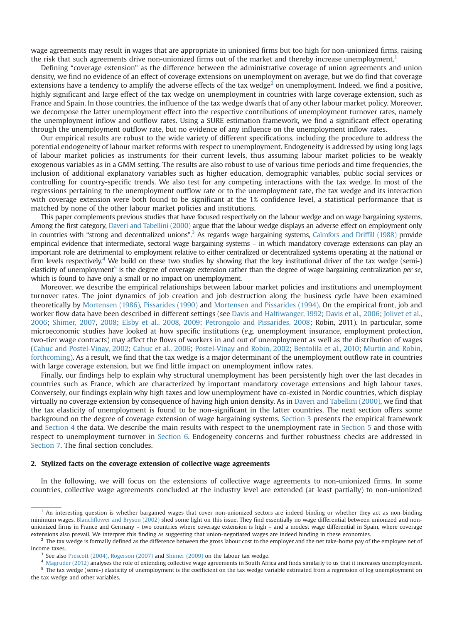wage agreements may result in wages that are appropriate in unionised firms but too high for non-unionized firms, raising the risk that such agreements drive non-unionized firms out of the market and thereby increase unemployment.<sup>1</sup>

Defining "coverage extension" as the difference between the administrative coverage of union agreements and union density, we find no evidence of an effect of coverage extensions on unemployment on average, but we do find that coverage extensions have a tendency to amplify the adverse effects of the tax wedge<sup>2</sup> on unemployment. Indeed, we find a positive, highly significant and large effect of the tax wedge on unemployment in countries with large coverage extension, such as France and Spain. In those countries, the influence of the tax wedge dwarfs that of any other labour market policy. Moreover, we decompose the latter unemployment effect into the respective contributions of unemployment turnover rates, namely the unemployment inflow and outflow rates. Using a SURE estimation framework, we find a significant effect operating through the unemployment outflow rate, but no evidence of any influence on the unemployment inflow rates.

Our empirical results are robust to the wide variety of different specifications, including the procedure to address the potential endogeneity of labour market reforms with respect to unemployment. Endogeneity is addressed by using long lags of labour market policies as instruments for their current levels, thus assuming labour market policies to be weakly exogenous variables as in a GMM setting. The results are also robust to use of various time periods and time frequencies, the inclusion of additional explanatory variables such as higher education, demographic variables, public social services or controlling for country-specific trends. We also test for any competing interactions with the tax wedge. In most of the regressions pertaining to the unemployment outflow rate or to the unemployment rate, the tax wedge and its interaction with coverage extension were both found to be significant at the 1% confidence level, a statistical performance that is matched by none of the other labour market policies and institutions.

This paper complements previous studies that have focused respectively on the labour wedge and on wage bargaining systems. Among the first category, Daveri and Tabellini (2000) argue that the labour wedge displays an adverse effect on employment only in countries with "strong and decentralized unions".<sup>3</sup> As regards wage bargaining systems, Calmfors and Driffill (1988) provide empirical evidence that intermediate, sectoral wage bargaining systems – in which mandatory coverage extensions can play an important role are detrimental to employment relative to either centralized or decentralized systems operating at the national or firm levels respectively.<sup>4</sup> We build on these two studies by showing that the key institutional driver of the tax wedge (semi-) elasticity of unemployment<sup>5</sup> is the degree of coverage extension rather than the degree of wage bargaining centralization *per se*, which is found to have only a small or no impact on unemployment.

Moreover, we describe the empirical relationships between labour market policies and institutions and unemployment turnover rates. The joint dynamics of job creation and job destruction along the business cycle have been examined theoretically by Mortensen (1986), Pissarides (1990) and Mortensen and Pissarides (1994). On the empirical front, job and worker flow data have been described in different settings (see Davis and Haltiwanger, 1992; Davis et al., 2006; Jolivet et al., 2006; Shimer, 2007, 2008; Elsby et al., 2008, 2009; Petrongolo and Pissarides, 2008; Robin, 2011). In particular, some microeconomic studies have looked at how specific institutions (e.g. unemployment insurance, employment protection, two-tier wage contracts) may affect the flows of workers in and out of unemployment as well as the distribution of wages (Cahuc and Postel-Vinay, 2002; Cahuc et al., 2006; Postel-Vinay and Robin, 2002; Bentolila et al., 2010; Murtin and Robin, forthcoming). As a result, we find that the tax wedge is a major determinant of the unemployment outflow rate in countries with large coverage extension, but we find little impact on unemployment inflow rates.

Finally, our findings help to explain why structural unemployment has been persistently high over the last decades in countries such as France, which are characterized by important mandatory coverage extensions and high labour taxes. Conversely, our findings explain why high taxes and low unemployment have co-existed in Nordic countries, which display virtually no coverage extension by consequence of having high union density. As in Daveri and Tabellini (2000), we find that the tax elasticity of unemployment is found to be non-significant in the latter countries. The next section offers some background on the degree of coverage extension of wage bargaining systems. Section 3 presents the empirical framework and Section 4 the data. We describe the main results with respect to the unemployment rate in Section 5 and those with respect to unemployment turnover in Section 6. Endogeneity concerns and further robustness checks are addressed in Section 7. The final section concludes.

#### 2. Stylized facts on the coverage extension of collective wage agreements

In the following, we will focus on the extensions of collective wage agreements to non-unionized firms. In some countries, collective wage agreements concluded at the industry level are extended (at least partially) to non-unionized

<sup>&</sup>lt;sup>1</sup> An interesting question is whether bargained wages that cover non-unionized sectors are indeed binding or whether they act as non-binding minimum wages. Blanchflower and Bryson (2002) shed some light on this issue. They find essentially no wage differential between unionized and nonunionized firms in France and Germany – two countries where coverage extension is high – and a modest wage differential in Spain, where coverage extensions also prevail. We interpret this finding as suggesting that union-negotiated wages are indeed binding in these economies.

<sup>&</sup>lt;sup>2</sup> The tax wedge is formally defined as the difference between the gross labour cost to the employer and the net take-home pay of the employee net of income taxes.

<sup>&</sup>lt;sup>3</sup> See also Prescott (2004), Rogerson (2007) and Shimer (2009) on the labour tax wedge.

<sup>4</sup> Magruder (2012) analyses the role of extending collective wage agreements in South Africa and finds similarly to us that it increases unemployment. <sup>5</sup> The tax wedge (semi-) elasticity of unemployment is the coefficient on the tax wedge variable estimated from a regression of log unemployment on the tax wedge and other variables.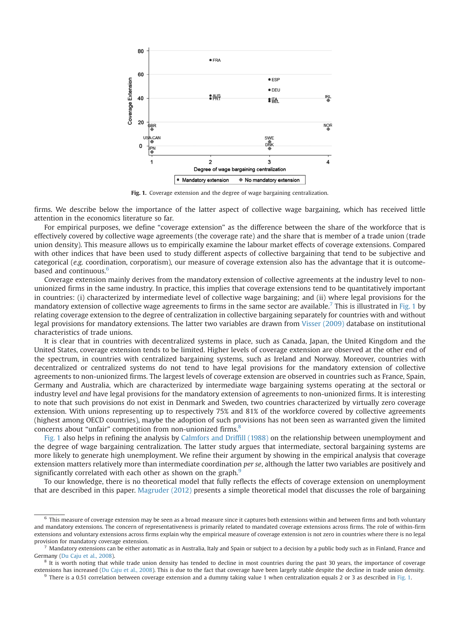

Fig. 1. Coverage extension and the degree of wage bargaining centralization.

firms. We describe below the importance of the latter aspect of collective wage bargaining, which has received little attention in the economics literature so far.

For empirical purposes, we define "coverage extension" as the difference between the share of the workforce that is effectively covered by collective wage agreements (the coverage rate) and the share that is member of a trade union (trade union density). This measure allows us to empirically examine the labour market effects of coverage extensions. Compared with other indices that have been used to study different aspects of collective bargaining that tend to be subjective and categorical (e.g. coordination, corporatism), our measure of coverage extension also has the advantage that it is outcomebased and continuous.<sup>6</sup>

Coverage extension mainly derives from the mandatory extension of collective agreements at the industry level to nonunionized firms in the same industry. In practice, this implies that coverage extensions tend to be quantitatively important in countries: (i) characterized by intermediate level of collective wage bargaining; and (ii) where legal provisions for the mandatory extension of collective wage agreements to firms in the same sector are available.<sup>7</sup> This is illustrated in Fig. 1 by relating coverage extension to the degree of centralization in collective bargaining separately for countries with and without legal provisions for mandatory extensions. The latter two variables are drawn from Visser (2009) database on institutional characteristics of trade unions.

It is clear that in countries with decentralized systems in place, such as Canada, Japan, the United Kingdom and the United States, coverage extension tends to be limited. Higher levels of coverage extension are observed at the other end of the spectrum, in countries with centralized bargaining systems, such as Ireland and Norway. Moreover, countries with decentralized or centralized systems do not tend to have legal provisions for the mandatory extension of collective agreements to non-unionized firms. The largest levels of coverage extension are observed in countries such as France, Spain, Germany and Australia, which are characterized by intermediate wage bargaining systems operating at the sectoral or industry level and have legal provisions for the mandatory extension of agreements to non-unionized firms. It is interesting to note that such provisions do not exist in Denmark and Sweden, two countries characterized by virtually zero coverage extension. With unions representing up to respectively 75% and 81% of the workforce covered by collective agreements (highest among OECD countries), maybe the adoption of such provisions has not been seen as warranted given the limited concerns about "unfair" competition from non-unionized firms.<sup>8</sup>

Fig. 1 also helps in refining the analysis by Calmfors and Driffill (1988) on the relationship between unemployment and the degree of wage bargaining centralization. The latter study argues that intermediate, sectoral bargaining systems are more likely to generate high unemployment. We refine their argument by showing in the empirical analysis that coverage extension matters relatively more than intermediate coordination per se, although the latter two variables are positively and significantly correlated with each other as shown on the graph.<sup>9</sup>

To our knowledge, there is no theoretical model that fully reflects the effects of coverage extension on unemployment that are described in this paper. Magruder (2012) presents a simple theoretical model that discusses the role of bargaining

<sup>8</sup> It is worth noting that while trade union density has tended to decline in most countries during the past 30 years, the importance of coverage extensions has increased (Du Caju et al., 2008). This is due to the fact that coverage have been largely stable despite the decline in trade union density.

 $^9$  There is a 0.51 correlation between coverage extension and a dummy taking value 1 when centralization equals 2 or 3 as described in Fig. 1.

 $^6$  This measure of coverage extension may be seen as a broad measure since it captures both extensions within and between firms and both voluntary and mandatory extensions. The concern of representativeness is primarily related to mandated coverage extensions across firms. The role of within-firm extensions and voluntary extensions across firms explain why the empirical measure of coverage extension is not zero in countries where there is no legal provision for mandatory coverage extension.

<sup>7</sup> Mandatory extensions can be either automatic as in Australia, Italy and Spain or subject to a decision by a public body such as in Finland, France and Germany (Du Caju et al., 2008).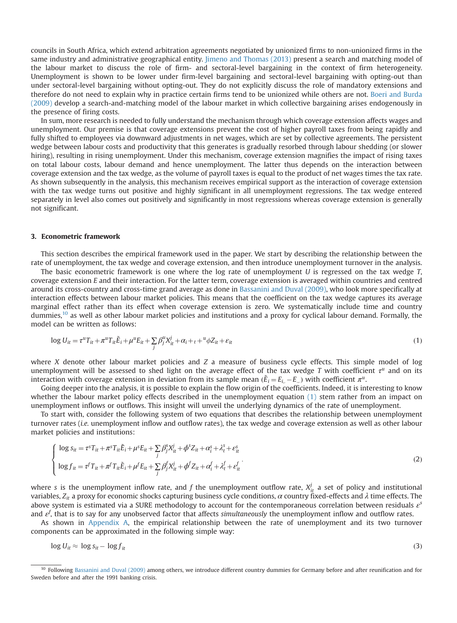councils in South Africa, which extend arbitration agreements negotiated by unionized firms to non-unionized firms in the same industry and administrative geographical entity. Jimeno and Thomas (2013) present a search and matching model of the labour market to discuss the role of firm- and sectoral-level bargaining in the context of firm heterogeneity. Unemployment is shown to be lower under firm-level bargaining and sectoral-level bargaining with opting-out than under sectoral-level bargaining without opting-out. They do not explicitly discuss the role of mandatory extensions and therefore do not need to explain why in practice certain firms tend to be unionized while others are not. Boeri and Burda (2009) develop a search-and-matching model of the labour market in which collective bargaining arises endogenously in the presence of firing costs.

In sum, more research is needed to fully understand the mechanism through which coverage extension affects wages and unemployment. Our premise is that coverage extensions prevent the cost of higher payroll taxes from being rapidly and fully shifted to employees via downward adjustments in net wages, which are set by collective agreements. The persistent wedge between labour costs and productivity that this generates is gradually resorbed through labour shedding (or slower hiring), resulting in rising unemployment. Under this mechanism, coverage extension magnifies the impact of rising taxes on total labour costs, labour demand and hence unemployment. The latter thus depends on the interaction between coverage extension and the tax wedge, as the volume of payroll taxes is equal to the product of net wages times the tax rate. As shown subsequently in the analysis, this mechanism receives empirical support as the interaction of coverage extension with the tax wedge turns out positive and highly significant in all unemployment regressions. The tax wedge entered separately in level also comes out positively and significantly in most regressions whereas coverage extension is generally not significant.

#### 3. Econometric framework

This section describes the empirical framework used in the paper. We start by describing the relationship between the rate of unemployment, the tax wedge and coverage extension, and then introduce unemployment turnover in the analysis.

The basic econometric framework is one where the log rate of unemployment  $U$  is regressed on the tax wedge  $T$ , coverage extension  $E$  and their interaction. For the latter term, coverage extension is averaged within countries and centred around its cross-country and cross-time grand average as done in Bassanini and Duval (2009), who look more specifically at interaction effects between labour market policies. This means that the coefficient on the tax wedge captures its average marginal effect rather than its effect when coverage extension is zero. We systematically include time and country dummies, $10$  as well as other labour market policies and institutions and a proxy for cyclical labour demand. Formally, the model can be written as follows:

$$
\log U_{it} = \tau^{u} T_{it} + \pi^{u} T_{it} \tilde{E}_{i} + \mu^{u} E_{it} + \sum_{j} \beta_{j}^{u} X_{it}^{j} + \alpha_{i} + t + u \phi Z_{it} + \varepsilon_{it}
$$
\n
$$
\tag{1}
$$

where  $X$  denote other labour market policies and  $Z$  a measure of business cycle effects. This simple model of log unemployment will be assessed to shed light on the average effect of the tax wedge T with coefficient  $\tau^u$  and on its interaction with coverage extension in deviation from its sample mean  $(\tilde{E}_i = E_{i, i} - E_{i, j})$  with coefficient  $\pi^u$ .

Going deeper into the analysis, it is possible to explain the flow origin of the coefficients. Indeed, it is interesting to know whether the labour market policy effects described in the unemployment equation (1) stem rather from an impact on unemployment inflows or outflows. This insight will unveil the underlying dynamics of the rate of unemployment.

To start with, consider the following system of two equations that describes the relationship between unemployment turnover rates (i.e. unemployment inflow and outflow rates), the tax wedge and coverage extension as well as other labour market policies and institutions:

$$
\begin{cases}\n\log s_{it} = \tau^s T_{it} + \pi^s T_{it} \tilde{E}_i + \mu^s E_{it} + \sum_j \beta_j^s X_{it}^j + \phi^s Z_{it} + \alpha_i^s + \lambda_t^s + \varepsilon_{it}^s \\
\log f_{it} = \tau^f T_{it} + \pi^f T_{it} \tilde{E}_i + \mu^f E_{it} + \sum_j \beta_j^f X_{it}^j + \phi^f Z_{it} + \alpha_i^f + \lambda_t^f + \varepsilon_{it}^f.\n\end{cases} \tag{2}
$$

where s is the unemployment inflow rate, and f the unemployment outflow rate,  $X_{it}^j$  a set of policy and institutional variables,  $Z_{it}$  a proxy for economic shocks capturing business cycle conditions,  $\alpha$  country fixed-effects and  $\lambda$  time effects. The above system is estimated via a SURE methodology to account for the contemporaneous correlation between residuals  $\varepsilon^s$ and  $\varepsilon^f$ , that is to say for any unobserved factor that affects simultaneously the unemployment inflow and outflow rates.

As shown in Appendix A, the empirical relationship between the rate of unemployment and its two turnover components can be approximated in the following simple way:

$$
\log U_{it} \approx \log s_{it} - \log f_{it} \tag{3}
$$

<sup>&</sup>lt;sup>10</sup> Following Bassanini and Duval (2009) among others, we introduce different country dummies for Germany before and after reunification and for Sweden before and after the 1991 banking crisis.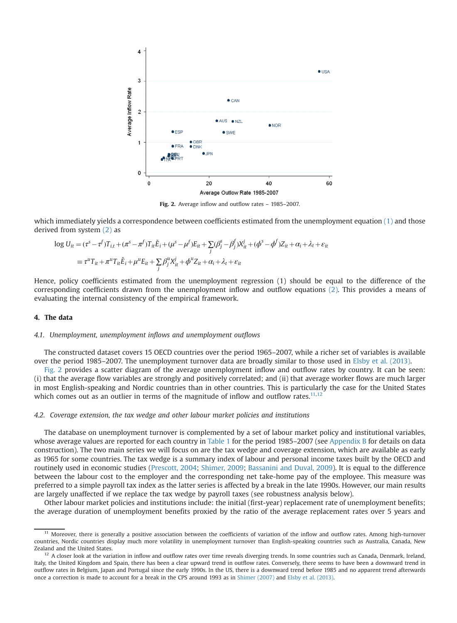

Fig. 2. Average inflow and outflow rates – 1985–2007.

which immediately yields a correspondence between coefficients estimated from the unemployment equation (1) and those derived from system (2) as

$$
\log U_{it} = (\tau^s - \tau^f)T_{i,t} + (\pi^s - \pi^f)T_{it}\tilde{E}_i + (\mu^s - \mu^f)E_{it} + \sum_j (\beta_j^s - \beta_j^f)X_{it}^j + (\phi^s - \phi^f)Z_{it} + \alpha_i + \lambda_t + \varepsilon_{it}
$$
  

$$
\equiv \tau^u T_{it} + \pi^u T_{it}\tilde{E}_i + \mu^u E_{it} + \sum_j \beta_j^u X_{it}^j + \phi^u Z_{it} + \alpha_i + \lambda_t + \varepsilon_{it}
$$

Hence, policy coefficients estimated from the unemployment regression (1) should be equal to the difference of the corresponding coefficients drawn from the unemployment inflow and outflow equations (2). This provides a means of evaluating the internal consistency of the empirical framework.

#### 4. The data

# 4.1. Unemployment, unemployment inflows and unemployment outflows

The constructed dataset covers 15 OECD countries over the period 1965–2007, while a richer set of variables is available over the period 1985–2007. The unemployment turnover data are broadly similar to those used in Elsby et al. (2013).

Fig. 2 provides a scatter diagram of the average unemployment inflow and outflow rates by country. It can be seen: (i) that the average flow variables are strongly and positively correlated; and (ii) that average worker flows are much larger in most English-speaking and Nordic countries than in other countries. This is particularly the case for the United States which comes out as an outlier in terms of the magnitude of inflow and outflow rates.<sup>11,12</sup>

### 4.2. Coverage extension, the tax wedge and other labour market policies and institutions

The database on unemployment turnover is complemented by a set of labour market policy and institutional variables, whose average values are reported for each country in Table 1 for the period 1985–2007 (see Appendix B for details on data construction). The two main series we will focus on are the tax wedge and coverage extension, which are available as early as 1965 for some countries. The tax wedge is a summary index of labour and personal income taxes built by the OECD and routinely used in economic studies (Prescott, 2004; Shimer, 2009; Bassanini and Duval, 2009). It is equal to the difference between the labour cost to the employer and the corresponding net take-home pay of the employee. This measure was preferred to a simple payroll tax index as the latter series is affected by a break in the late 1990s. However, our main results are largely unaffected if we replace the tax wedge by payroll taxes (see robustness analysis below).

Other labour market policies and institutions include: the initial (first-year) replacement rate of unemployment benefits; the average duration of unemployment benefits proxied by the ratio of the average replacement rates over 5 years and

 $11$  Moreover, there is generally a positive association between the coefficients of variation of the inflow and outflow rates. Among high-turnover countries, Nordic countries display much more volatility in unemployment turnover than English-speaking countries such as Australia, Canada, New Zealand and the United States.

 $12$  A closer look at the variation in inflow and outflow rates over time reveals diverging trends. In some countries such as Canada, Denmark, Ireland, Italy, the United Kingdom and Spain, there has been a clear upward trend in outflow rates. Conversely, there seems to have been a downward trend in outflow rates in Belgium, Japan and Portugal since the early 1990s. In the US, there is a downward trend before 1985 and no apparent trend afterwards once a correction is made to account for a break in the CPS around 1993 as in Shimer (2007) and Elsby et al. (2013).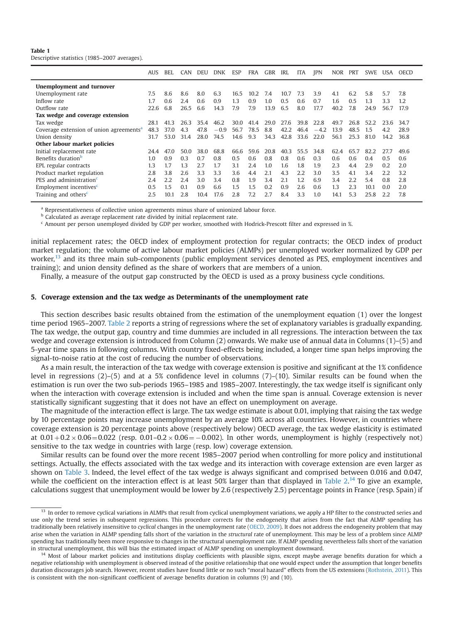Descriptive statistics (1985–2007 averages).

|                                                     | <b>AUS</b> | <b>BEL</b> | CAN  | DEU  | <b>DNK</b> | ESP  | <b>FRA</b> | <b>GBR</b> | IRL  | <b>ITA</b> | <b>IPN</b> | <b>NOR</b> | <b>PRT</b> | <b>SWE</b> | USA  | OECD |
|-----------------------------------------------------|------------|------------|------|------|------------|------|------------|------------|------|------------|------------|------------|------------|------------|------|------|
| Unemployment and turnover                           |            |            |      |      |            |      |            |            |      |            |            |            |            |            |      |      |
| Unemployment rate                                   | 7.5        | 8.6        | 8.6  | 8.0  | 6.3        | 16.5 | 10.2       | 7.4        | 10.7 | 7.3        | 3.9        | 4.1        | 6.2        | 5.8        | 5.7  | 7.8  |
| Inflow rate                                         | 1.7        | 0.6        | 2.4  | 0.6  | 0.9        | 1.3  | 0.9        | 1.0        | 0.5  | 0.6        | 0.7        | 1.6        | 0.5        | 1.3        | 3.3  | 1.2  |
| Outflow rate                                        | 22.6       | 6.8        | 26.5 | 6.6  | 14.3       | 7.9  | 7.9        | 13.9       | 6.5  | 8.0        | 17.7       | 40.2       | 7.8        | 24.9       | 56.7 | 17.9 |
| Tax wedge and coverage extension                    |            |            |      |      |            |      |            |            |      |            |            |            |            |            |      |      |
| Tax wedge                                           | 28.1       | 41.3       | 26.3 | 35.4 | 46.2       | 30.0 | 41.4       | 29.0       | 27.6 | 39.8       | 22.8       | 49.        | 26.8       | 52.2       | 23.6 | 34.7 |
| Coverage extension of union agreements <sup>a</sup> | 48.3       | 37.0       | 4.3  | 47.8 | $-0.9$     | 56.7 | 78.5       | 8.8        | 42.2 | 46.4       | $-4.2$     | 13.9       | 48.5       | 1.5        | 4.2  | 28.9 |
| Union density                                       | 31.7       | 53.0       | 31.4 | 28.0 | 74.5       | 14.6 | 9.3        | 34.3       | 42.8 | 33.6       | 22.0       | 56.1       | 25.3       | 81.0       | 14.2 | 36.8 |
| Other labour market policies                        |            |            |      |      |            |      |            |            |      |            |            |            |            |            |      |      |
| Initial replacement rate                            | 24.4       | 47.0       | 50.0 | 38.0 | 68.8       | 66.6 | 59.6       | 20.8       | 40.3 | 55.5       | 34.8       | 62.4       | 65.7       | 82.2       | 27.7 | 49.6 |
| Benefits duration <sup>b</sup>                      | 1.0        | 0.9        | 0.3  | 0.7  | 0.8        | 0.5  | 0.6        | 0.8        | 0.8  | 0.6        | 0.3        | 0.6        | 0.6        | 0.4        | 0.5  | 0.6  |
| EPL regular contracts                               | 1.3        | 1.7        | 1.3  | 2.7  | 1.7        | 31   | 2.4        | 1.0        | 1.6  | 1.8        | 1.9        | 2.3        | 4.4        | 2.9        | 0.2  | 2.0  |
| Product market regulation                           | 2.8        | 3.8        | 2.6  | 3.3  | 3.3        | 3.6  | 4.4        | 2.1        | 4.3  | 2.2        | 3.0        | 3.5        | 4.1        | 3.4        | 2.2  | 3.2  |
| PES and administration <sup>c</sup>                 | 2.4        | 2.2        | 2.4  | 3.0  | 3.4        | 0.8  | 1.9        | 3.4        | 2.1  | 1.2        | 6.9        | 3.4        | 2.2        | 5.4        | 0.8  | 2.8  |
| Employment incentives <sup>c</sup>                  | 0.5        | 1.5        | 0.1  | 0.9  | 6.6        | 1.5  | 1.5        | 0.2        | 0.9  | 2.6        | 0.6        | 1.3        | 2.3        | 10.1       | 0.0  | 2.0  |
| Training and others <sup>c</sup>                    | 2.5        | 10.1       | 2.8  | 10.4 | 17.6       | 2.8  | 7.2        | 2.7        | 8.4  | 3.3        | 1.0        | 14.1       | 5.3        | 25.8       | 2.2  | 7.8  |

<sup>a</sup> Representativeness of collective union agreements minus share of unionized labour force.

**b** Calculated as average replacement rate divided by initial replacement rate.

<sup>c</sup> Amount per person unemployed divided by GDP per worker, smoothed with Hodrick-Prescott filter and expressed in %.

initial replacement rates; the OECD index of employment protection for regular contracts; the OECD index of product market regulation; the volume of active labour market policies (ALMPs) per unemployed worker normalized by GDP per worker,<sup>13</sup> and its three main sub-components (public employment services denoted as PES, employment incentives and training); and union density defined as the share of workers that are members of a union.

Finally, a measure of the output gap constructed by the OECD is used as a proxy business cycle conditions.

#### 5. Coverage extension and the tax wedge as Determinants of the unemployment rate

This section describes basic results obtained from the estimation of the unemployment equation (1) over the longest time period 1965–2007. Table 2 reports a string of regressions where the set of explanatory variables is gradually expanding. The tax wedge, the output gap, country and time dummies are included in all regressions. The interaction between the tax wedge and coverage extension is introduced from Column (2) onwards. We make use of annual data in Columns (1)–(5) and 5-year time spans in following columns. With country fixed-effects being included, a longer time span helps improving the signal-to-noise ratio at the cost of reducing the number of observations.

As a main result, the interaction of the tax wedge with coverage extension is positive and significant at the 1% confidence level in regressions (2)–(5) and at a 5% confidence level in columns (7)–(10). Similar results can be found when the estimation is run over the two sub-periods 1965–1985 and 1985–2007. Interestingly, the tax wedge itself is significant only when the interaction with coverage extension is included and when the time span is annual. Coverage extension is never statistically significant suggesting that it does not have an effect on unemployment on average.

The magnitude of the interaction effect is large. The tax wedge estimate is about 0.01, implying that raising the tax wedge by 10 percentage points may increase unemployment by an average 10% across all countries. However, in countries where coverage extension is 20 percentage points above (respectively below) OECD average, the tax wedge elasticity is estimated at  $0.01+0.2\times0.06=0.022$  (resp.  $0.01-0.2\times0.06=-0.002$ ). In other words, unemployment is highly (respectively not) sensitive to the tax wedge in countries with large (resp. low) coverage extension.

Similar results can be found over the more recent 1985–2007 period when controlling for more policy and institutional settings. Actually, the effects associated with the tax wedge and its interaction with coverage extension are even larger as shown on Table 3. Indeed, the level effect of the tax wedge is always significant and comprised between 0.016 and 0.047, while the coefficient on the interaction effect is at least  $50\%$  larger than that displayed in Table 2.<sup>14</sup> To give an example, calculations suggest that unemployment would be lower by 2.6 (respectively 2.5) percentage points in France (resp. Spain) if

<sup>&</sup>lt;sup>13</sup> In order to remove cyclical variations in ALMPs that result from cyclical unemployment variations, we apply a HP filter to the constructed series and use only the trend series in subsequent regressions. This procedure corrects for the endogeneity that arises from the fact that ALMP spending has traditionally been relatively insensitive to cyclical changes in the unemployment rate (OECD, 2009). It does not address the endogeneity problem that may arise when the variation in ALMP spending falls short of the variation in the structural rate of unemployment. This may be less of a problem since ALMP spending has traditionally been more responsive to changes in the structural unemployment rate. If ALMP spending nevertheless falls short of the variation in structural unemployment, this will bias the estimated impact of ALMP spending on unemployment downward.

<sup>&</sup>lt;sup>14</sup> Most of labour market policies and institutions display coefficients with plausible signs, except maybe average benefits duration for which a negative relationship with unemployment is observed instead of the positive relationship that one would expect under the assumption that longer benefits duration discourages job search. However, recent studies have found little or no such "moral hazard" effects from the US extensions (Rothstein, 2011). This is consistent with the non-significant coefficient of average benefits duration in columns (9) and (10).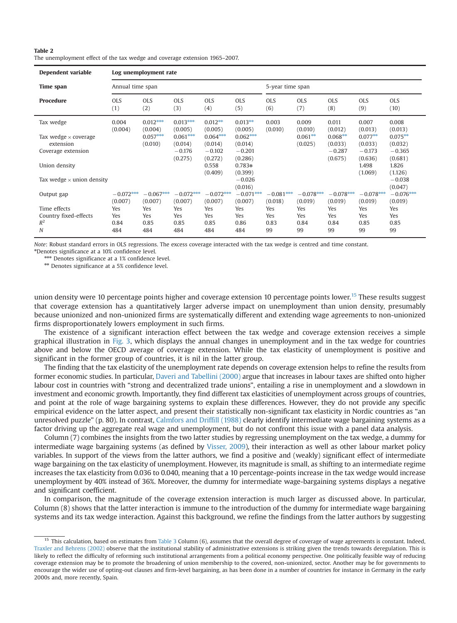The unemployment effect of the tax wedge and coverage extension 1965–2007.

| Dependent variable                                                                                                               |                                                     | Log unemployment rate                               |                                                                       |                                                                                           |                                                                                                          |                                                    |                                                    |                                                                 |                                                                                     |                                                                                                  |  |  |  |
|----------------------------------------------------------------------------------------------------------------------------------|-----------------------------------------------------|-----------------------------------------------------|-----------------------------------------------------------------------|-------------------------------------------------------------------------------------------|----------------------------------------------------------------------------------------------------------|----------------------------------------------------|----------------------------------------------------|-----------------------------------------------------------------|-------------------------------------------------------------------------------------|--------------------------------------------------------------------------------------------------|--|--|--|
| Time span                                                                                                                        | Annual time span                                    |                                                     |                                                                       |                                                                                           |                                                                                                          | 5-year time span                                   |                                                    |                                                                 |                                                                                     |                                                                                                  |  |  |  |
| Procedure                                                                                                                        | <b>OLS</b><br>(1)                                   | <b>OLS</b><br>(2)                                   | <b>OLS</b><br>(3)                                                     | <b>OLS</b><br>(4)                                                                         | <b>OLS</b><br>(5)                                                                                        | <b>OLS</b><br>(6)                                  | <b>OLS</b><br>(7)                                  | <b>OLS</b><br>(8)                                               | <b>OLS</b><br>(9)                                                                   | <b>OLS</b><br>(10)                                                                               |  |  |  |
| Tax wedge<br>Tax wedge $\times$ coverage<br>extension<br>Coverage extension<br>Union density<br>Tax wedge $\times$ union density | 0.004<br>(0.004)                                    | $0.012***$<br>(0.004)<br>$0.057***$<br>(0.010)      | $0.013***$<br>(0.005)<br>$0.061***$<br>(0.014)<br>$-0.176$<br>(0.275) | $0.012***$<br>(0.005)<br>$0.064***$<br>(0.014)<br>$-0.102$<br>(0.272)<br>0.558<br>(0.409) | $0.013***$<br>(0.005)<br>$0.062***$<br>(0.014)<br>$-0.201$<br>(0.286)<br>$0.783*$<br>(0.399)<br>$-0.026$ | 0.003<br>(0.010)                                   | 0.009<br>(0.010)<br>$0.061***$<br>(0.025)          | 0.011<br>(0.012)<br>$0.068**$<br>(0.033)<br>$-0.287$<br>(0.675) | 0.007<br>(0.013)<br>$0.077**$<br>(0.033)<br>$-0.173$<br>(0.636)<br>1.498<br>(1.069) | 0.008<br>(0.013)<br>$0.075***$<br>(0.032)<br>$-0.365$<br>(0.681)<br>1.826<br>(1.126)<br>$-0.038$ |  |  |  |
| Output gap<br>Time effects<br>Country fixed-effects<br>$R^2$<br>N                                                                | $-0.072***$<br>(0.007)<br>Yes<br>Yes<br>0.84<br>484 | $-0.067***$<br>(0.007)<br>Yes<br>Yes<br>0.85<br>484 | $-0.072***$<br>(0.007)<br>Yes<br>Yes<br>0.85<br>484                   | $-0.072***$<br>(0.007)<br>Yes<br>Yes<br>0.85<br>484                                       | (0.016)<br>$-0.071***$<br>(0.007)<br>Yes<br>Yes<br>0.86<br>484                                           | $-0.081***$<br>(0.018)<br>Yes<br>Yes<br>0.83<br>99 | $-0.078***$<br>(0.019)<br>Yes<br>Yes<br>0.84<br>99 | $-0.078***$<br>(0.019)<br>Yes<br>Yes<br>0.84<br>99              | $-0.078***$<br>(0.019)<br>Yes<br>Yes<br>0.85<br>99                                  | (0.047)<br>$-0.076***$<br>(0.019)<br>Yes<br>Yes<br>0.85<br>99                                    |  |  |  |

Note: Robust standard errors in OLS regressions. The excess coverage interacted with the tax wedge is centred and time constant.

\*Denotes significance at a 10% confidence level.

<sup>\*\*</sup> Denotes significance at a 1% confidence level.

\*\* Denotes significance at a 5% confidence level.

union density were 10 percentage points higher and coverage extension 10 percentage points lower.<sup>15</sup> These results suggest that coverage extension has a quantitatively larger adverse impact on unemployment than union density, presumably because unionized and non-unionized firms are systematically different and extending wage agreements to non-unionized firms disproportionately lowers employment in such firms.

The existence of a significant interaction effect between the tax wedge and coverage extension receives a simple graphical illustration in Fig. 3, which displays the annual changes in unemployment and in the tax wedge for countries above and below the OECD average of coverage extension. While the tax elasticity of unemployment is positive and significant in the former group of countries, it is nil in the latter group.

The finding that the tax elasticity of the unemployment rate depends on coverage extension helps to refine the results from former economic studies. In particular, Daveri and Tabellini (2000) argue that increases in labour taxes are shifted onto higher labour cost in countries with "strong and decentralized trade unions", entailing a rise in unemployment and a slowdown in investment and economic growth. Importantly, they find different tax elasticities of unemployment across groups of countries, and point at the role of wage bargaining systems to explain these differences. However, they do not provide any specific empirical evidence on the latter aspect, and present their statistically non-significant tax elasticity in Nordic countries as "an unresolved puzzle" (p. 80). In contrast, Calmfors and Driffill (1988) clearly identify intermediate wage bargaining systems as a factor driving up the aggregate real wage and unemployment, but do not confront this issue with a panel data analysis.

Column (7) combines the insights from the two latter studies by regressing unemployment on the tax wedge, a dummy for intermediate wage bargaining systems (as defined by Visser, 2009), their interaction as well as other labour market policy variables. In support of the views from the latter authors, we find a positive and (weakly) significant effect of intermediate wage bargaining on the tax elasticity of unemployment. However, its magnitude is small, as shifting to an intermediate regime increases the tax elasticity from 0.036 to 0.040, meaning that a 10 percentage-points increase in the tax wedge would increase unemployment by 40% instead of 36%. Moreover, the dummy for intermediate wage-bargaining systems displays a negative and significant coefficient.

In comparison, the magnitude of the coverage extension interaction is much larger as discussed above. In particular, Column (8) shows that the latter interaction is immune to the introduction of the dummy for intermediate wage bargaining systems and its tax wedge interaction. Against this background, we refine the findings from the latter authors by suggesting

<sup>&</sup>lt;sup>15</sup> This calculation, based on estimates from Table 3 Column (6), assumes that the overall degree of coverage of wage agreements is constant. Indeed, Traxler and Behrens (2002) observe that the institutional stability of administrative extensions is striking given the trends towards deregulation. This is likely to reflect the difficulty of reforming such institutional arrangements from a political economy perspective. One politically feasible way of reducing coverage extension may be to promote the broadening of union membership to the covered, non-unionized, sector. Another may be for governments to encourage the wider use of opting-out clauses and firm-level bargaining, as has been done in a number of countries for instance in Germany in the early 2000s and, more recently, Spain.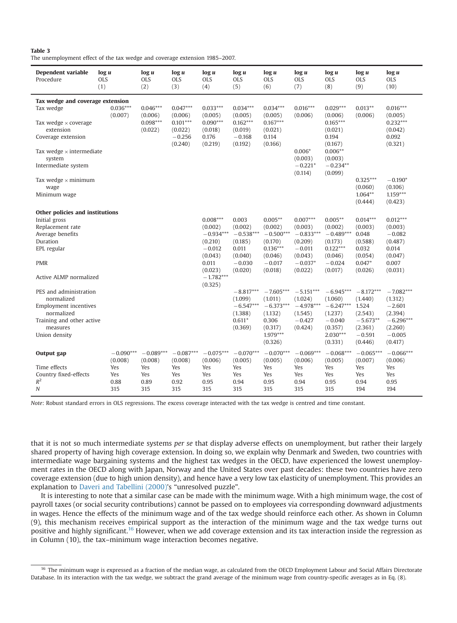The unemployment effect of the tax wedge and coverage extension 1985–2007.

| Dependent variable<br>Procedure                                                                                                                                                     | log u<br><b>OLS</b><br>(1)                          | log u<br><b>OLS</b><br>(2)                          | log u<br><b>OLS</b><br>(3)                                            | log u<br><b>OLS</b><br>(4)                                                                                           | log u<br><b>OLS</b><br>(5)                                                            | log u<br><b>OLS</b><br>(6)                                                                      | log u<br><b>OLS</b><br>(7)                                                                     | log u<br><b>OLS</b><br>(8)                                                                                          | log u<br><b>OLS</b><br>(9)                                                                 | log u<br><b>OLS</b><br>(10)                                                                    |
|-------------------------------------------------------------------------------------------------------------------------------------------------------------------------------------|-----------------------------------------------------|-----------------------------------------------------|-----------------------------------------------------------------------|----------------------------------------------------------------------------------------------------------------------|---------------------------------------------------------------------------------------|-------------------------------------------------------------------------------------------------|------------------------------------------------------------------------------------------------|---------------------------------------------------------------------------------------------------------------------|--------------------------------------------------------------------------------------------|------------------------------------------------------------------------------------------------|
| Tax wedge and coverage extension<br>Tax wedge<br>Tax wedge $\times$ coverage<br>extension<br>Coverage extension<br>Tax wedge $\times$ intermediate<br>system<br>Intermediate system | $0.036***$<br>(0.007)                               | $0.046***$<br>(0.006)<br>$0.098***$<br>(0.022)      | $0.047***$<br>(0.006)<br>$0.101***$<br>(0.022)<br>$-0.256$<br>(0.240) | $0.033***$<br>(0.005)<br>$0.090***$<br>(0.018)<br>0.176<br>(0.219)                                                   | $0.034***$<br>(0.005)<br>$0.162***$<br>(0.019)<br>$-0.168$<br>(0.192)                 | $0.034***$<br>(0.005)<br>$0.167***$<br>(0.021)<br>0.114<br>(0.166)                              | $0.016***$<br>(0.006)<br>$0.006*$<br>(0.003)<br>$-0.221*$<br>(0.114)                           | $0.029***$<br>(0.006)<br>$0.165***$<br>(0.021)<br>0.194<br>(0.167)<br>$0.006**$<br>(0.003)<br>$-0.234**$<br>(0.099) | $0.013**$<br>(0.006)                                                                       | $0.016***$<br>(0.005)<br>$0.232***$<br>(0.042)<br>0.092<br>(0.321)                             |
| Tax wedge $\times$ minimum<br>wage<br>Minimum wage                                                                                                                                  |                                                     |                                                     |                                                                       |                                                                                                                      |                                                                                       |                                                                                                 |                                                                                                |                                                                                                                     | $0.325***$<br>(0.060)<br>$1.064**$<br>(0.444)                                              | $-0.190*$<br>(0.106)<br>$1.159***$<br>(0.423)                                                  |
| Other policies and institutions<br>Initial gross<br>Replacement rate<br>Average benefits<br>Duration<br>EPL regular<br><b>PMR</b><br>Active ALMP normalized                         |                                                     |                                                     |                                                                       | $0.008***$<br>(0.002)<br>$-0.934***$<br>(0.210)<br>$-0.012$<br>(0.043)<br>0.011<br>(0.023)<br>$-1.782***$<br>(0.325) | 0.003<br>(0.002)<br>$-0.538***$<br>(0.185)<br>0.011<br>(0.040)<br>$-0.030$<br>(0.020) | $0.005***$<br>(0.002)<br>$-0.500***$<br>(0.170)<br>$0.136***$<br>(0.046)<br>$-0.017$<br>(0.018) | $0.007***$<br>(0.003)<br>$-0.833***$<br>(0.209)<br>$-0.011$<br>(0.043)<br>$-0.037*$<br>(0.022) | $0.005**$<br>(0.002)<br>$-0.489***$<br>(0.173)<br>$0.122***$<br>(0.046)<br>$-0.024$<br>(0.017)                      | $0.014***$<br>(0.003)<br>0.048<br>(0.588)<br>0.032<br>(0.054)<br>$0.047*$<br>(0.026)       | $0.012***$<br>(0.003)<br>$-0.082$<br>(0.487)<br>0.014<br>(0.047)<br>0.007<br>(0.031)           |
| PES and administration<br>normalized<br><b>Employment incentives</b><br>normalized<br>Training and other active<br>measures<br>Union density                                        |                                                     |                                                     |                                                                       |                                                                                                                      | $-8.817***$<br>(1.099)<br>$-6.547***$<br>(1.388)<br>$0.611*$<br>(0.369)               | $-7.605***$<br>(1.011)<br>$-6.373***$<br>(1.132)<br>0.306<br>(0.317)<br>1.979***<br>(0.326)     | $-5.151***$<br>(1.024)<br>$-4.978***$<br>(1.545)<br>$-0.427$<br>(0.424)                        | $-6.945***$<br>(1.060)<br>$-6.247***$<br>(1.237)<br>$-0.040$<br>(0.357)<br>$2.030***$<br>(0.331)                    | $-8.172***$<br>(1.440)<br>1.524<br>(2.543)<br>$-5.673**$<br>(2.361)<br>$-0.591$<br>(0.446) | $-7.082***$<br>(1.312)<br>$-2.601$<br>(2.394)<br>$-6.296***$<br>(2.260)<br>$-0.005$<br>(0.417) |
| Output gap<br>Time effects<br>Country fixed-effects<br>$R^2$<br>N                                                                                                                   | $-0.090***$<br>(0.008)<br>Yes<br>Yes<br>0.88<br>315 | $-0.089***$<br>(0.008)<br>Yes<br>Yes<br>0.89<br>315 | $-0.087***$<br>(0.008)<br>Yes<br>Yes<br>0.92<br>315                   | $-0.075***$<br>(0.006)<br>Yes<br>Yes<br>0.95<br>315                                                                  | $-0.070***$<br>(0.005)<br>Yes<br>Yes<br>0.94<br>315                                   | $-0.070***$<br>(0.005)<br>Yes<br>Yes<br>0.95<br>315                                             | $-0.069***$<br>(0.006)<br>Yes<br>Yes<br>0.94<br>315                                            | $-0.068***$<br>(0.005)<br>Yes<br>Yes<br>0.95<br>315                                                                 | $-0.065***$<br>(0.007)<br>Yes<br>Yes<br>0.94<br>194                                        | $-0.066***$<br>(0.006)<br>Yes<br>Yes<br>0.95<br>194                                            |

Note: Robust standard errors in OLS regressions. The excess coverage interacted with the tax wedge is centred and time constant.

that it is not so much intermediate systems per se that display adverse effects on unemployment, but rather their largely shared property of having high coverage extension. In doing so, we explain why Denmark and Sweden, two countries with intermediate wage bargaining systems and the highest tax wedges in the OECD, have experienced the lowest unemployment rates in the OECD along with Japan, Norway and the United States over past decades: these two countries have zero coverage extension (due to high union density), and hence have a very low tax elasticity of unemployment. This provides an explanation to Daveri and Tabellini (2000)'s "unresolved puzzle".

It is interesting to note that a similar case can be made with the minimum wage. With a high minimum wage, the cost of payroll taxes (or social security contributions) cannot be passed on to employees via corresponding downward adjustments in wages. Hence the effects of the minimum wage and of the tax wedge should reinforce each other. As shown in Column (9), this mechanism receives empirical support as the interaction of the minimum wage and the tax wedge turns out positive and highly significant.16 However, when we add coverage extension and its tax interaction inside the regression as in Column (10), the tax–minimum wage interaction becomes negative.

<sup>&</sup>lt;sup>16</sup> The minimum wage is expressed as a fraction of the median wage, as calculated from the OECD Employment Labour and Social Affairs Directorate Database. In its interaction with the tax wedge, we subtract the grand average of the minimum wage from country-specific averages as in Eq. (8).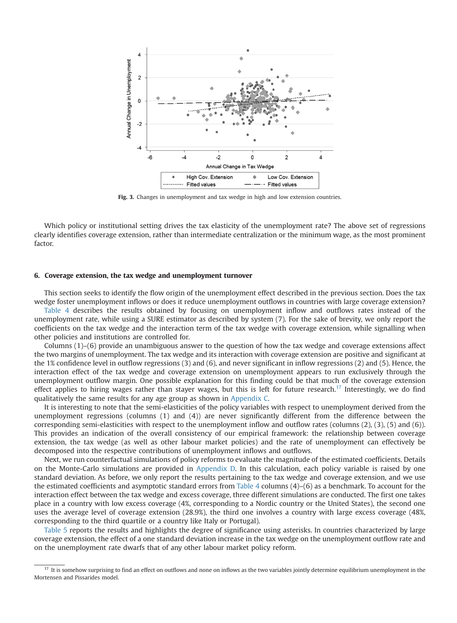

Fig. 3. Changes in unemployment and tax wedge in high and low extension countries.

Which policy or institutional setting drives the tax elasticity of the unemployment rate? The above set of regressions clearly identifies coverage extension, rather than intermediate centralization or the minimum wage, as the most prominent factor.

#### 6. Coverage extension, the tax wedge and unemployment turnover

This section seeks to identify the flow origin of the unemployment effect described in the previous section. Does the tax wedge foster unemployment inflows or does it reduce unemployment outflows in countries with large coverage extension?

Table 4 describes the results obtained by focusing on unemployment inflow and outflows rates instead of the unemployment rate, while using a SURE estimator as described by system (7). For the sake of brevity, we only report the coefficients on the tax wedge and the interaction term of the tax wedge with coverage extension, while signalling when other policies and institutions are controlled for.

Columns (1)–(6) provide an unambiguous answer to the question of how the tax wedge and coverage extensions affect the two margins of unemployment. The tax wedge and its interaction with coverage extension are positive and significant at the 1% confidence level in outflow regressions (3) and (6), and never significant in inflow regressions (2) and (5). Hence, the interaction effect of the tax wedge and coverage extension on unemployment appears to run exclusively through the unemployment outflow margin. One possible explanation for this finding could be that much of the coverage extension effect applies to hiring wages rather than stayer wages, but this is left for future research.<sup>17</sup> Interestingly, we do find qualitatively the same results for any age group as shown in Appendix C.

It is interesting to note that the semi-elasticities of the policy variables with respect to unemployment derived from the unemployment regressions (columns (1) and (4)) are never significantly different from the difference between the corresponding semi-elasticities with respect to the unemployment inflow and outflow rates (columns (2), (3), (5) and (6)). This provides an indication of the overall consistency of our empirical framework: the relationship between coverage extension, the tax wedge (as well as other labour market policies) and the rate of unemployment can effectively be decomposed into the respective contributions of unemployment inflows and outflows.

Next, we run counterfactual simulations of policy reforms to evaluate the magnitude of the estimated coefficients. Details on the Monte-Carlo simulations are provided in Appendix D. In this calculation, each policy variable is raised by one standard deviation. As before, we only report the results pertaining to the tax wedge and coverage extension, and we use the estimated coefficients and asymptotic standard errors from Table 4 columns (4)–(6) as a benchmark. To account for the interaction effect between the tax wedge and excess coverage, three different simulations are conducted. The first one takes place in a country with low excess coverage (4%, corresponding to a Nordic country or the United States), the second one uses the average level of coverage extension (28.9%), the third one involves a country with large excess coverage (48%, corresponding to the third quartile or a country like Italy or Portugal).

Table 5 reports the results and highlights the degree of significance using asterisks. In countries characterized by large coverage extension, the effect of a one standard deviation increase in the tax wedge on the unemployment outflow rate and on the unemployment rate dwarfs that of any other labour market policy reform.

<sup>17</sup> It is somehow surprising to find an effect on outflows and none on inflows as the two variables jointly determine equilibrium unemployment in the Mortensen and Pissarides model.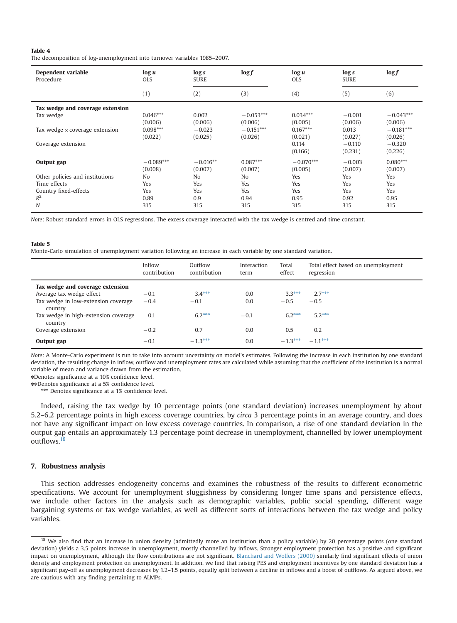The decomposition of log-unemployment into turnover variables 1985–2007.

| Dependent variable<br>Procedure       | log u<br><b>OLS</b> | log s<br><b>SURE</b> | $\log f$       | log u<br><b>OLS</b> | log s<br><b>SURE</b> | $\log f$    |
|---------------------------------------|---------------------|----------------------|----------------|---------------------|----------------------|-------------|
|                                       | (1)                 | (2)                  | (3)            | (4)                 | (5)                  | (6)         |
| Tax wedge and coverage extension      |                     |                      |                |                     |                      |             |
| Tax wedge                             | $0.046***$          | 0.002                | $-0.053***$    | $0.034***$          | $-0.001$             | $-0.043***$ |
|                                       | (0.006)             | (0.006)              | (0.006)        | (0.005)             | (0.006)              | (0.006)     |
| Tax wedge $\times$ coverage extension | $0.098***$          | $-0.023$             | $-0.151***$    | $0.167***$          | 0.013                | $-0.181***$ |
|                                       | (0.022)             | (0.025)              | (0.026)        | (0.021)             | (0.027)              | (0.026)     |
| Coverage extension                    |                     |                      |                | 0.114               | $-0.110$             | $-0.320$    |
|                                       |                     |                      |                | (0.166)             | (0.231)              | (0.226)     |
| Output gap                            | $-0.089***$         | $-0.016**$           | $0.087***$     | $-0.070***$         | $-0.003$             | $0.080***$  |
|                                       | (0.008)             | (0.007)              | (0.007)        | (0.005)             | (0.007)              | (0.007)     |
| Other policies and institutions       | N <sub>o</sub>      | N <sub>o</sub>       | N <sub>o</sub> | Yes                 | Yes                  | Yes         |
| Time effects                          | Yes                 | Yes                  | Yes            | Yes                 | Yes                  | Yes         |
| Country fixed-effects                 | Yes                 | Yes                  | Yes            | Yes                 | Yes                  | Yes         |
| $R^2$                                 | 0.89                | 0.9                  | 0.94           | 0.95                | 0.92                 | 0.95        |
| N                                     | 315                 | 315                  | 315            | 315                 | 315                  | 315         |

Note: Robust standard errors in OLS regressions. The excess coverage interacted with the tax wedge is centred and time constant.

#### Table 5

Monte-Carlo simulation of unemployment variation following an increase in each variable by one standard variation.

|                                                 | Inflow<br>contribution | Outflow<br>contribution | Interaction<br>term | Total<br>effect | Total effect based on unemployment<br>regression |
|-------------------------------------------------|------------------------|-------------------------|---------------------|-----------------|--------------------------------------------------|
| Tax wedge and coverage extension                |                        |                         |                     |                 |                                                  |
| Average tax wedge effect                        | $-0.1$                 | $3.4***$                | 0.0                 | $3.3***$        | $2.7***$                                         |
| Tax wedge in low-extension coverage<br>country  | $-0.4$                 | $-0.1$                  | 0.0                 | $-0.5$          | $-0.5$                                           |
| Tax wedge in high-extension coverage<br>country | 0.1                    | $6.2***$                | $-0.1$              | $6.2***$        | $5.2***$                                         |
| Coverage extension                              | $-0.2$                 | 0.7                     | 0.0                 | 0.5             | 0.2                                              |
| Output gap                                      | $-0.1$                 | $-1.3***$               | 0.0                 | $-1.3***$       | $-1.1***$                                        |

Note: A Monte-Carlo experiment is run to take into account uncertainty on model's estimates. Following the increase in each institution by one standard deviation, the resulting change in inflow, outflow and unemployment rates are calculated while assuming that the coefficient of the institution is a normal variable of mean and variance drawn from the estimation.

\*Denotes significance at a 10% confidence level.

\*\*Denotes significance at a 5% confidence level.

\*\*\* Denotes significance at a 1% confidence level.

Indeed, raising the tax wedge by 10 percentage points (one standard deviation) increases unemployment by about 5.2–6.2 percentage points in high excess coverage countries, by circa 3 percentage points in an average country, and does not have any significant impact on low excess coverage countries. In comparison, a rise of one standard deviation in the output gap entails an approximately 1.3 percentage point decrease in unemployment, channelled by lower unemployment outflows.<sup>1</sup>

## 7. Robustness analysis

This section addresses endogeneity concerns and examines the robustness of the results to different econometric specifications. We account for unemployment sluggishness by considering longer time spans and persistence effects, we include other factors in the analysis such as demographic variables, public social spending, different wage bargaining systems or tax wedge variables, as well as different sorts of interactions between the tax wedge and policy variables.

<sup>&</sup>lt;sup>18</sup> We also find that an increase in union density (admittedly more an institution than a policy variable) by 20 percentage points (one standard deviation) yields a 3.5 points increase in unemployment, mostly channelled by inflows. Stronger employment protection has a positive and significant impact on unemployment, although the flow contributions are not significant. Blanchard and Wolfers (2000) similarly find significant effects of union density and employment protection on unemployment. In addition, we find that raising PES and employment incentives by one standard deviation has a significant pay-off as unemployment decreases by 1.2–1.5 points, equally split between a decline in inflows and a boost of outflows. As argued above, we are cautious with any finding pertaining to ALMPs.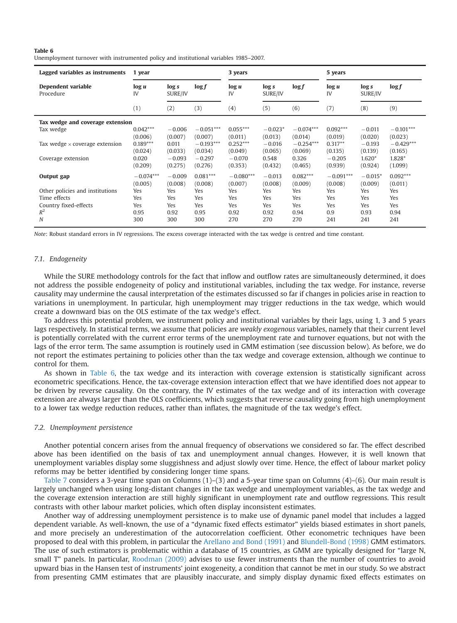Unemployment turnover with instrumented policy and institutional variables 1985–2007.

| Lagged variables as instruments       | 1 year                 |                           |                        | 3 years                |                           |                        | 5 years                |                              |                        |  |
|---------------------------------------|------------------------|---------------------------|------------------------|------------------------|---------------------------|------------------------|------------------------|------------------------------|------------------------|--|
| Dependent variable<br>Procedure       | log u<br>IV            | log f<br>log s<br>SURE/IV |                        | log u<br>IV            | log f<br>log s<br>SURE/IV |                        | log u<br>IV            | $\log f$<br>log s<br>SURE/IV |                        |  |
|                                       | (1)                    | (2)                       | (3)                    | (4)                    | (5)                       | (6)                    | (7)                    | (8)                          | (9)                    |  |
| Tax wedge and coverage extension      |                        |                           |                        |                        |                           |                        |                        |                              |                        |  |
| Tax wedge                             | $0.042***$<br>(0.006)  | $-0.006$<br>(0.007)       | $-0.051***$<br>(0.007) | $0.055***$<br>(0.011)  | $-0.023*$<br>(0.013)      | $-0.074***$<br>(0.014) | $0.092***$<br>(0.019)  | $-0.011$<br>(0.020)          | $-0.101***$<br>(0.023) |  |
| Tax wedge $\times$ coverage extension | $0.189***$<br>(0.024)  | 0.011<br>(0.033)          | $-0.193***$<br>(0.034) | $0.252***$<br>(0.049)  | $-0.016$<br>(0.065)       | $-0.254***$<br>(0.069) | $0.317**$<br>(0.135)   | $-0.193$<br>(0.139)          | $-0.429***$<br>(0.165) |  |
| Coverage extension                    | 0.020<br>(0.209)       | $-0.093$<br>(0.275)       | $-0.297$<br>(0.276)    | $-0.070$<br>(0.353)    | 0.548<br>(0.432)          | 0.326<br>(0.465)       | $-0.205$<br>(0.939)    | $1.620*$<br>(0.924)          | 1.828*<br>(1.099)      |  |
| Output gap                            | $-0.074***$<br>(0.005) | $-0.009$<br>(0.008)       | $0.081***$<br>(0.008)  | $-0.080***$<br>(0.007) | $-0.013$<br>(0.008)       | $0.082***$<br>(0.009)  | $-0.091***$<br>(0.008) | $-0.015*$<br>(0.009)         | $0.092***$<br>(0.011)  |  |
| Other policies and institutions       | Yes                    | Yes                       | Yes                    | Yes                    | Yes                       | Yes                    | Yes                    | Yes                          | Yes                    |  |
| Time effects                          | Yes                    | Yes                       | Yes                    | Yes                    | Yes                       | Yes                    | Yes                    | Yes                          | Yes                    |  |
| Country fixed-effects                 | Yes                    | Yes                       | Yes                    | Yes                    | Yes                       | Yes                    | Yes                    | Yes                          | Yes                    |  |
| $R^2$                                 | 0.95                   | 0.92                      | 0.95                   | 0.92                   | 0.92                      | 0.94                   | 0.9                    | 0.93                         | 0.94                   |  |
| N                                     | 300                    | 300                       | 300                    | 270                    | 270                       | 270                    | 241                    | 241                          | 241                    |  |

Note: Robust standard errors in IV regressions. The excess coverage interacted with the tax wedge is centred and time constant.

#### 7.1. Endogeneity

While the SURE methodology controls for the fact that inflow and outflow rates are simultaneously determined, it does not address the possible endogeneity of policy and institutional variables, including the tax wedge. For instance, reverse causality may undermine the causal interpretation of the estimates discussed so far if changes in policies arise in reaction to variations in unemployment. In particular, high unemployment may trigger reductions in the tax wedge, which would create a downward bias on the OLS estimate of the tax wedge's effect.

To address this potential problem, we instrument policy and institutional variables by their lags, using 1, 3 and 5 years lags respectively. In statistical terms, we assume that policies are weakly exogenous variables, namely that their current level is potentially correlated with the current error terms of the unemployment rate and turnover equations, but not with the lags of the error term. The same assumption is routinely used in GMM estimation (see discussion below). As before, we do not report the estimates pertaining to policies other than the tax wedge and coverage extension, although we continue to control for them.

As shown in Table 6, the tax wedge and its interaction with coverage extension is statistically significant across econometric specifications. Hence, the tax-coverage extension interaction effect that we have identified does not appear to be driven by reverse causality. On the contrary, the IV estimates of the tax wedge and of its interaction with coverage extension are always larger than the OLS coefficients, which suggests that reverse causality going from high unemployment to a lower tax wedge reduction reduces, rather than inflates, the magnitude of the tax wedge's effect.

#### 7.2. Unemployment persistence

Another potential concern arises from the annual frequency of observations we considered so far. The effect described above has been identified on the basis of tax and unemployment annual changes. However, it is well known that unemployment variables display some sluggishness and adjust slowly over time. Hence, the effect of labour market policy reforms may be better identified by considering longer time spans.

Table 7 considers a 3-year time span on Columns (1)–(3) and a 5-year time span on Columns (4)–(6). Our main result is largely unchanged when using long-distant changes in the tax wedge and unemployment variables, as the tax wedge and the coverage extension interaction are still highly significant in unemployment rate and outflow regressions. This result contrasts with other labour market policies, which often display inconsistent estimates.

Another way of addressing unemployment persistence is to make use of dynamic panel model that includes a lagged dependent variable. As well-known, the use of a "dynamic fixed effects estimator" yields biased estimates in short panels, and more precisely an underestimation of the autocorrelation coefficient. Other econometric techniques have been proposed to deal with this problem, in particular the Arellano and Bond (1991) and Blundell-Bond (1998) GMM estimators. The use of such estimators is problematic within a database of 15 countries, as GMM are typically designed for "large N, small T" panels. In particular, Roodman (2009) advises to use fewer instruments than the number of countries to avoid upward bias in the Hansen test of instruments' joint exogeneity, a condition that cannot be met in our study. So we abstract from presenting GMM estimates that are plausibly inaccurate, and simply display dynamic fixed effects estimates on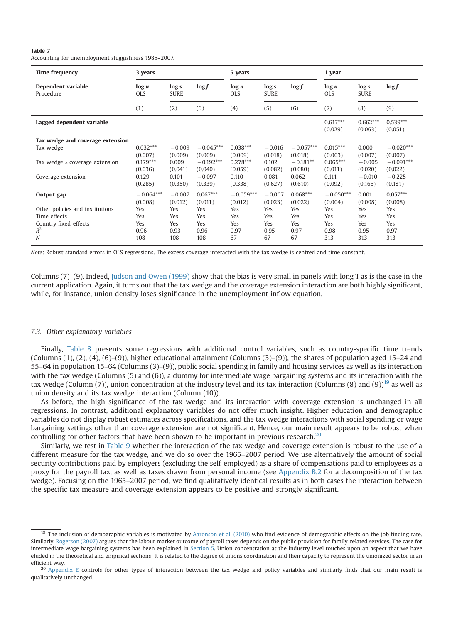Accounting for unemployment sluggishness 1985–2007.

| <b>Time frequency</b>                 | 3 years                |                      |                        | 5 years                |                                  |                        | 1 year                 |                       |                        |  |
|---------------------------------------|------------------------|----------------------|------------------------|------------------------|----------------------------------|------------------------|------------------------|-----------------------|------------------------|--|
| Dependent variable<br>Procedure       | log u<br><b>OLS</b>    | log s<br><b>SURE</b> | log f                  | log u<br><b>OLS</b>    | $\log f$<br>log s<br><b>SURE</b> |                        | log u<br><b>OLS</b>    | log s<br><b>SURE</b>  | $\log f$               |  |
|                                       | (1)                    | (2)                  | (3)                    | (4)                    | (5)                              | (6)                    | (7)                    | (8)                   | (9)                    |  |
| Lagged dependent variable             |                        |                      |                        |                        |                                  |                        | $0.617***$<br>(0.029)  | $0.662***$<br>(0.063) | $0.539***$<br>(0.051)  |  |
| Tax wedge and coverage extension      |                        |                      |                        |                        |                                  |                        |                        |                       |                        |  |
| Tax wedge                             | $0.032***$<br>(0.007)  | $-0.009$<br>(0.009)  | $-0.045***$<br>(0.009) | $0.038***$<br>(0.009)  | $-0.016$<br>(0.018)              | $-0.057***$<br>(0.018) | $0.015***$<br>(0.003)  | 0.000<br>(0.007)      | $-0.020***$<br>(0.007) |  |
| Tax wedge $\times$ coverage extension | $0.179***$<br>(0.036)  | 0.009<br>(0.041)     | $-0.192***$<br>(0.040) | $0.278***$<br>(0.059)  | 0.102<br>(0.082)                 | $-0.181**$<br>(0.080)  | $0.065***$<br>(0.011)  | $-0.005$<br>(0.020)   | $-0.091***$<br>(0.022) |  |
| Coverage extension                    | 0.129<br>(0.285)       | 0.101<br>(0.350)     | $-0.097$<br>(0.339)    | 0.110<br>(0.338)       | 0.081<br>(0.627)                 | 0.062<br>(0.610)       | 0.111<br>(0.092)       | $-0.010$<br>(0.166)   | $-0.225$<br>(0.181)    |  |
| Output gap                            | $-0.064***$<br>(0.008) | $-0.007$<br>(0.012)  | $0.067***$<br>(0.011)  | $-0.059***$<br>(0.012) | $-0.007$<br>(0.023)              | $0.068***$<br>(0.022)  | $-0.050***$<br>(0.004) | 0.001<br>(0.008)      | $0.057***$<br>(0.008)  |  |
| Other policies and institutions       | Yes                    | Yes                  | Yes                    | Yes                    | Yes                              | Yes                    | Yes                    | Yes                   | Yes                    |  |
| Time effects                          | Yes                    | Yes                  | Yes                    | Yes                    | Yes                              | Yes                    | Yes                    | Yes                   | Yes                    |  |
| Country fixed-effects                 | Yes                    | Yes                  | Yes                    | Yes                    | Yes                              | Yes                    | Yes                    | Yes                   | Yes                    |  |
| $R^2$                                 | 0.96                   | 0.93                 | 0.96                   | 0.97                   | 0.95                             | 0.97                   | 0.98                   | 0.95                  | 0.97                   |  |
| N                                     | 108                    | 108                  | 108                    | 67                     | 67                               | 67                     | 313                    | 313                   | 313                    |  |

Note: Robust standard errors in OLS regressions. The excess coverage interacted with the tax wedge is centred and time constant.

Columns (7)–(9). Indeed, Judson and Owen (1999) show that the bias is very small in panels with long T as is the case in the current application. Again, it turns out that the tax wedge and the coverage extension interaction are both highly significant, while, for instance, union density loses significance in the unemployment inflow equation.

#### 7.3. Other explanatory variables

Finally, Table 8 presents some regressions with additional control variables, such as country-specific time trends (Columns  $(1)$ ,  $(2)$ ,  $(4)$ ,  $(6)$ – $(9)$ ), higher educational attainment (Columns  $(3)$ – $(9)$ ), the shares of population aged 15–24 and 55–64 in population 15–64 (Columns (3)–(9)), public social spending in family and housing services as well as its interaction with the tax wedge (Columns (5) and (6)), a dummy for intermediate wage bargaining systems and its interaction with the tax wedge (Column (7)), union concentration at the industry level and its tax interaction (Columns (8) and (9))<sup>19</sup> as well as union density and its tax wedge interaction (Column (10)).

As before, the high significance of the tax wedge and its interaction with coverage extension is unchanged in all regressions. In contrast, additional explanatory variables do not offer much insight. Higher education and demographic variables do not display robust estimates across specifications, and the tax wedge interactions with social spending or wage bargaining settings other than coverage extension are not significant. Hence, our main result appears to be robust when controlling for other factors that have been shown to be important in previous research.<sup>20</sup>

Similarly, we test in Table 9 whether the interaction of the tax wedge and coverage extension is robust to the use of a different measure for the tax wedge, and we do so over the 1965–2007 period. We use alternatively the amount of social security contributions paid by employers (excluding the self-employed) as a share of compensations paid to employees as a proxy for the payroll tax, as well as taxes drawn from personal income (see Appendix B.2 for a decomposition of the tax wedge). Focusing on the 1965–2007 period, we find qualitatively identical results as in both cases the interaction between the specific tax measure and coverage extension appears to be positive and strongly significant.

<sup>&</sup>lt;sup>19</sup> The inclusion of demographic variables is motivated by Aaronson et al. (2010) who find evidence of demographic effects on the job finding rate. Similarly, Rogerson (2007) argues that the labour market outcome of payroll taxes depends on the public provision for family-related services. The case for intermediate wage bargaining systems has been explained in Section 5. Union concentration at the industry level touches upon an aspect that we have eluded in the theoretical and empirical sections: It is related to the degree of unions coordination and their capacity to represent the unionized sector in an efficient way.

 $20$  Appendix E controls for other types of interaction between the tax wedge and policy variables and similarly finds that our main result is qualitatively unchanged.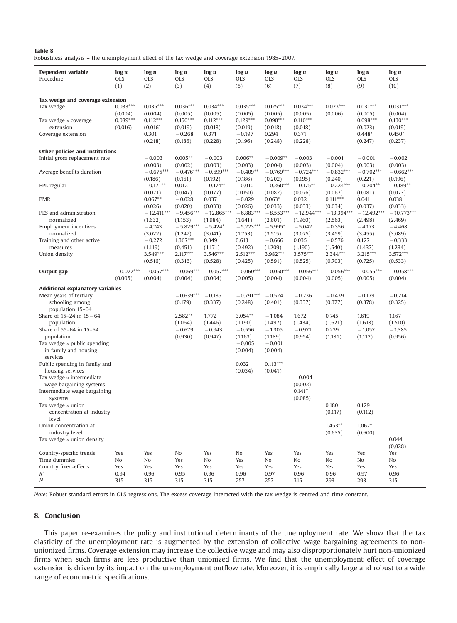Robustness analysis – the unemployment effect of the tax wedge and coverage extension 1985–2007.

| Dependent variable<br>Procedure                                | log u<br><b>OLS</b><br>(1) | log u<br><b>OLS</b><br>(2)     | log u<br><b>OLS</b><br>(3)        | log u<br><b>OLS</b><br>(4)       | log u<br><b>OLS</b><br>(5)        | log u<br><b>OLS</b><br>(6)     | log u<br><b>OLS</b><br>(7)     | log u<br>OLS<br>(8)     | log u<br><b>OLS</b><br>(9)        | log u<br><b>OLS</b><br>(10)       |
|----------------------------------------------------------------|----------------------------|--------------------------------|-----------------------------------|----------------------------------|-----------------------------------|--------------------------------|--------------------------------|-------------------------|-----------------------------------|-----------------------------------|
|                                                                |                            |                                |                                   |                                  |                                   |                                |                                |                         |                                   |                                   |
| Tax wedge and coverage extension<br>Tax wedge                  | $0.033***$<br>(0.004)      | $0.035***$<br>(0.004)          | $0.036***$<br>(0.005)             | $0.034***$<br>(0.005)            | $0.035***$<br>(0.005)             | $0.025***$<br>(0.005)          | $0.034***$<br>(0.005)          | $0.023***$<br>(0.006)   | $0.031***$<br>(0.005)             | $0.031***$<br>(0.004)             |
| Tax wedge $\times$ coverage<br>extension<br>Coverage extension | $0.089***$<br>(0.016)      | $0.112***$<br>(0.016)<br>0.301 | $0.150***$<br>(0.019)<br>$-0.268$ | $0.112***$<br>(0.018)<br>0.371   | $0.129***$<br>(0.019)<br>$-0.197$ | $0.090***$<br>(0.018)<br>0.294 | $0.110***$<br>(0.018)<br>0.371 |                         | $0.098***$<br>(0.023)<br>$0.448*$ | $0.130***$<br>(0.019)<br>$0.450*$ |
|                                                                |                            | (0.218)                        | (0.186)                           | (0.228)                          | (0.196)                           | (0.248)                        | (0.228)                        |                         | (0.247)                           | (0.237)                           |
| Other policies and institutions                                |                            |                                |                                   |                                  |                                   |                                |                                |                         |                                   |                                   |
| Initial gross replacement rate                                 |                            | $-0.003$<br>(0.003)            | $0.005**$<br>(0.002)              | $-0.003$<br>(0.003)              | $0.006**$<br>(0.003)              | $-0.009**$<br>(0.004)          | $-0.003$<br>(0.003)            | $-0.001$<br>(0.004)     | $-0.001$<br>(0.003)               | $-0.002$<br>(0.003)               |
| Average benefits duration                                      |                            | $-0.675***$<br>(0.186)         | $-0.476***$<br>(0.161)            | $-0.699***$                      | $-0.409**$<br>(0.186)             | $-0.769***$<br>(0.202)         | $-0.724***$<br>(0.195)         | $-0.832***$<br>(0.240)  | $-0.702***$<br>(0.221)            | $-0.662***$<br>(0.196)            |
| EPL regular                                                    |                            | $-0.171**$<br>(0.071)          | 0.012<br>(0.047)                  | (0.192)<br>$-0.174**$<br>(0.077) | $-0.010$<br>(0.050)               | $-0.260***$<br>(0.082)         | $-0.175**$<br>(0.076)          | $-0.224***$<br>(0.067)  | $-0.204**$<br>(0.081)             | $-0.189**$<br>(0.073)             |
| <b>PMR</b>                                                     |                            | $0.067**$<br>(0.026)           | $-0.028$<br>(0.020)               | 0.037<br>(0.033)                 | $-0.029$<br>(0.026)               | $0.063*$<br>(0.033)            | 0.032<br>(0.033)               | $0.111***$<br>(0.034)   | 0.041<br>(0.037)                  | 0.038<br>(0.033)                  |
| PES and administration<br>normalized                           |                            | $-12.411***$<br>(1.632)        | $-9.456***$<br>(1.153)            | $-12.865***$<br>(1.984)          | $-6.883***$<br>(1.641)            | $-8.553***$<br>(2.801)         | $-12.944***$<br>(1.960)        | $-13.394***$<br>(2.563) | $-12.492***$<br>(2.498)           | $-10.773***$<br>(2.469)           |
| <b>Employment incentives</b><br>normalized                     |                            | $-4.743$<br>(3.022)            | $-5.829***$<br>(1.247)            | $-5.424*$<br>(3.041)             | $-5.223***$<br>(1.753)            | $-5.995*$<br>(3.515)           | $-5.042$<br>(3.075)            | $-0.356$<br>(3.459)     | $-4.173$<br>(3.455)               | $-4.468$<br>(3.089)               |
| Training and other active<br>measures                          |                            | $-0.272$<br>(1.119)            | $1.367***$<br>(0.451)             | 0.349<br>(1.171)                 | 0.613<br>(0.492)                  | $-0.666$<br>(1.209)            | 0.035<br>(1.190)               | $-0.576$<br>(1.540)     | 0.127<br>(1.437)                  | $-0.333$<br>(1.234)               |
| Union density                                                  |                            | $3.549***$<br>(0.516)          | $2.117***$<br>(0.316)             | $3.546***$<br>(0.528)            | $2.512***$<br>(0.425)             | $3.982***$<br>(0.591)          | $3.575***$<br>(0.525)          | $2.344***$<br>(0.703)   | $3.215***$<br>(0.725)             | $3.572***$<br>(0.533)             |
| Output gap                                                     | $-0.077***$<br>(0.005)     | $-0.057***$<br>(0.004)         | $-0.069***$<br>(0.004)            | $-0.057***$<br>(0.004)           | $-0.060***$<br>(0.005)            | $-0.050***$<br>(0.004)         | $-0.056***$<br>(0.004)         | $-0.056***$<br>(0.005)  | $-0.055***$<br>(0.005)            | $-0.058***$<br>(0.004)            |
| <b>Additional explanatory variables</b>                        |                            |                                |                                   |                                  |                                   |                                |                                |                         |                                   |                                   |
| Mean years of tertiary<br>schooling among<br>population 15-64  |                            |                                | $-0.639***$<br>(0.179)            | $-0.185$<br>(0.337)              | $-0.791***$<br>(0.248)            | $-0.524$<br>(0.401)            | $-0.236$<br>(0.337)            | $-0.439$<br>(0.377)     | $-0.179$<br>(0.378)               | $-0.214$<br>(0.325)               |
| Share of 15-24 in 15-64<br>population                          |                            |                                | $2.582**$<br>(1.064)              | 1.772<br>(1.446)                 | $3.054**$<br>(1.190)              | $-1.084$<br>(1.497)            | 1.672<br>(1.434)               | 0.745<br>(1.621)        | 1.619<br>(1.618)                  | 1.167<br>(1.510)                  |
| Share of 55-64 in 15-64<br>population                          |                            |                                | $-0.679$<br>(0.930)               | $-0.943$<br>(0.947)              | $-0.556$<br>(1.163)               | $-1.305$<br>(1.189)            | $-0.971$<br>(0.954)            | 0.239<br>(1.181)        | $-1.057$<br>(1.112)               | $-1.385$<br>(0.956)               |
| Tax wedge $\times$ public spending<br>in family and housing    |                            |                                |                                   |                                  | $-0.005$<br>(0.004)               | $-0.001$<br>(0.004)            |                                |                         |                                   |                                   |
| services<br>Public spending in family and<br>housing services  |                            |                                |                                   |                                  | 0.032<br>(0.034)                  | $0.113***$<br>(0.041)          |                                |                         |                                   |                                   |
| Tax wedge $\times$ intermediate<br>wage bargaining systems     |                            |                                |                                   |                                  |                                   |                                | $-0.004$<br>(0.002)            |                         |                                   |                                   |
| Intermediate wage bargaining<br>systems                        |                            |                                |                                   |                                  |                                   |                                | $0.141*$<br>(0.085)            | 0.180                   | 0.129                             |                                   |
| Tax wedge $\times$ union<br>concentration at industry<br>level |                            |                                |                                   |                                  |                                   |                                |                                | (0.117)                 | (0.112)                           |                                   |
| Union concentration at<br>industry level                       |                            |                                |                                   |                                  |                                   |                                |                                | $1.453**$<br>(0.635)    | $1.067*$<br>(0.600)               |                                   |
| Tax wedge $\times$ union density                               |                            |                                |                                   |                                  |                                   |                                |                                |                         |                                   | 0.044<br>(0.028)                  |
| Country-specific trends                                        | Yes                        | Yes                            | N <sub>o</sub>                    | Yes                              | No                                | Yes                            | Yes                            | Yes                     | Yes                               | Yes                               |
| Time dummies                                                   | No                         | N <sub>o</sub>                 | Yes                               | No                               | Yes                               | N <sub>o</sub>                 | N <sub>o</sub>                 | N <sub>o</sub>          | No                                | No                                |
| Country fixed-effects<br>$R^2$                                 | Yes<br>0.94                | Yes<br>0.96                    | Yes<br>0.95                       | Yes<br>0.96                      | Yes<br>0.96                       | Yes<br>0.97                    | Yes<br>0.96                    | Yes<br>0.96             | Yes<br>0.97                       | Yes<br>0.96                       |
| $\cal N$                                                       | 315                        | 315                            | 315                               | 315                              | 257                               | 257                            | 315                            | 293                     | 293                               | 315                               |

Note: Robust standard errors in OLS regressions. The excess coverage interacted with the tax wedge is centred and time constant.

## 8. Conclusion

This paper re-examines the policy and institutional determinants of the unemployment rate. We show that the tax elasticity of the unemployment rate is augmented by the extension of collective wage bargaining agreements to nonunionized firms. Coverage extension may increase the collective wage and may also disproportionately hurt non-unionized firms when such firms are less productive than unionized firms. We find that the unemployment effect of coverage extension is driven by its impact on the unemployment outflow rate. Moreover, it is empirically large and robust to a wide range of econometric specifications.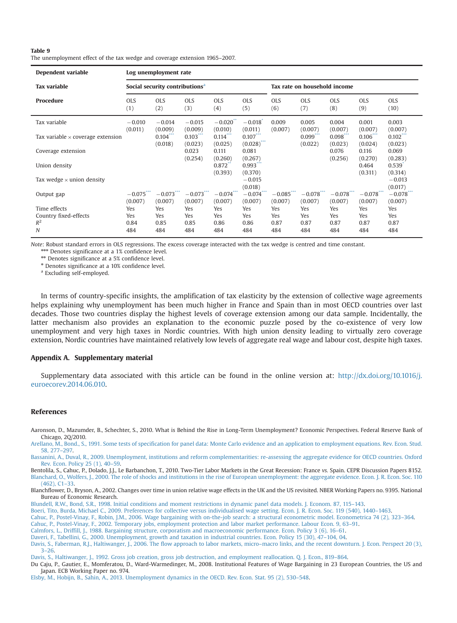The unemployment effect of the tax wedge and coverage extension 1965–2007.

| Dependent variable                       |                     | Log unemployment rate                      |                     |                         |                                   |                              |                     |                     |                     |                                   |  |  |  |
|------------------------------------------|---------------------|--------------------------------------------|---------------------|-------------------------|-----------------------------------|------------------------------|---------------------|---------------------|---------------------|-----------------------------------|--|--|--|
| <b>Tax variable</b>                      |                     | Social security contributions <sup>a</sup> |                     |                         |                                   | Tax rate on household income |                     |                     |                     |                                   |  |  |  |
| Procedure                                | <b>OLS</b><br>(1)   | <b>OLS</b><br>(2)                          | <b>OLS</b><br>(3)   | <b>OLS</b><br>(4)       | <b>OLS</b><br>(5)                 | <b>OLS</b><br>(6)            | <b>OLS</b><br>(7)   | <b>OLS</b><br>(8)   | <b>OLS</b><br>(9)   | <b>OLS</b><br>(10)                |  |  |  |
| Tax variable                             | $-0.010$<br>(0.011) | $-0.014$<br>(0.009)                        | $-0.015$<br>(0.009) | $-0.020$<br>(0.010)     | $-0.018$<br>(0.011)               | 0.009<br>(0.007)             | 0.005<br>(0.007)    | 0.004<br>(0.007)    | 0.001<br>(0.007)    | 0.003<br>(0.007)                  |  |  |  |
| Tax variable $\times$ coverage extension |                     | 0.104<br>(0.018)                           | 0.103<br>(0.023)    | 0.114<br>(0.025)        | 0.107<br>$(0.028)$ <sup>***</sup> |                              | 0.099<br>(0.022)    | 0.098<br>(0.023)    | 0.106<br>(0.024)    | $0.102$ <sup>***</sup><br>(0.023) |  |  |  |
| Coverage extension                       |                     |                                            | 0.023<br>(0.254)    | 0.111<br>(0.260)        | 0.081<br>(0.267)                  |                              |                     | 0.076<br>(0.256)    | 0.116<br>(0.270)    | 0.069<br>(0.283)                  |  |  |  |
| Union density                            |                     |                                            |                     | 0.872<br>(0.393)        | $0.993$<br>(0.370)                |                              |                     |                     | 0.464<br>(0.311)    | 0.539<br>(0.314)                  |  |  |  |
| Tax wedge $\times$ union density         |                     |                                            |                     |                         | $-0.015$<br>(0.018)               |                              |                     |                     |                     | $-0.013$<br>(0.017)               |  |  |  |
| Output gap                               | $-0.075$<br>(0.007) | $-0.073$<br>(0.007)                        | $-0.073$<br>(0.007) | $-0.074$ ***<br>(0.007) | $-0.074$<br>(0.007)               | $-0.085$<br>(0.007)          | $-0.078$<br>(0.007) | $-0.078$<br>(0.007) | $-0.078$<br>(0.007) | $-0.078$ <sup>**</sup><br>(0.007) |  |  |  |
| Time effects                             | Yes                 | Yes                                        | Yes                 | Yes                     | Yes                               | Yes                          | Yes                 | Yes                 | Yes                 | Yes                               |  |  |  |
| Country fixed-effects                    | Yes                 | Yes                                        | Yes                 | Yes                     | Yes                               | Yes                          | Yes                 | Yes                 | Yes                 | Yes                               |  |  |  |
| $R^2$                                    | 0.84                | 0.85                                       | 0.85                | 0.86                    | 0.86                              | 0.87                         | 0.87                | 0.87                | 0.87                | 0.87                              |  |  |  |
| N                                        | 484                 | 484                                        | 484                 | 484                     | 484                               | 484                          | 484                 | 484                 | 484                 | 484                               |  |  |  |

Note: Robust standard errors in OLS regressions. The excess coverage interacted with the tax wedge is centred and time constant.

\*\*\* Denotes significance at a 1% confidence level.

\*\* Denotes significance at a 5% confidence level.

\* Denotes significance at a 10% confidence level.

<sup>a</sup> Excluding self-employed.

In terms of country-specific insights, the amplification of tax elasticity by the extension of collective wage agreements helps explaining why unemployment has been much higher in France and Spain than in most OECD countries over last decades. Those two countries display the highest levels of coverage extension among our data sample. Incidentally, the latter mechanism also provides an explanation to the economic puzzle posed by the co-existence of very low unemployment and very high taxes in Nordic countries. With high union density leading to virtually zero coverage extension, Nordic countries have maintained relatively low levels of aggregate real wage and labour cost, despite high taxes.

#### Appendix A. Supplementary material

Supplementary data associated with this article can be found in the online version at: [http://dx.doi.org/10.1016/j.](http://dx.doi.org/10.1016/j.euroecorev.2014.06.010) [euroecorev.2014.06.010](http://dx.doi.org/10.1016/j.euroecorev.2014.06.010).

### References

Aaronson, D., Mazumder, B., Schechter, S., 2010. What is Behind the Rise in Long-Term Unemployment? Economic Perspectives. Federal Reserve Bank of Chicago, 2Q/2010.

[Arellano, M., Bond., S., 1991. Some tests of specification for panel data: Monte Carlo evidence and an application to employment equations. Rev. Econ. Stud.](http://refhub.elsevier.com/S0014-2921(14)00097-X/sbref1) [58, 277](http://refhub.elsevier.com/S0014-2921(14)00097-X/sbref1)–297.

[Bassanini, A., Duval, R., 2009. Unemployment, institutions and reform complementarities: re-assessing the aggregate evidence for OECD countries. Oxford](http://refhub.elsevier.com/S0014-2921(14)00097-X/sbref2) [Rev. Econ. Policy 25 \(1\), 40](http://refhub.elsevier.com/S0014-2921(14)00097-X/sbref2)–59.

Bentolila, S., Cahuc, P., Dolado, J.J., Le Barbanchon, T., 2010. Two-Tier Labor Markets in the Great Recession: France vs. Spain. CEPR Discussion Papers 8152. [Blanchard, O., Wolfers, J., 2000. The role of shocks and institutions in the rise of European unemployment: the aggregate evidence. Econ. J. R. Econ. Soc. 110](http://refhub.elsevier.com/S0014-2921(14)00097-X/sbref3)

[\(462\), C1](http://refhub.elsevier.com/S0014-2921(14)00097-X/sbref3)–33. Blanchflower, D., Bryson, A., 2002. Changes over time in union relative wage effects in the UK and the US revisited. NBER Working Papers no. 9395. National Bureau of Economic Research.

[Blundell, R.W., Bond, S.R., 1998. Initial conditions and moment restrictions in dynamic panel data models. J. Econom. 87, 115](http://refhub.elsevier.com/S0014-2921(14)00097-X/sbref4)–143.

[Boeri, Tito, Burda, Michael C., 2009. Preferences for collective versus individualised wage setting. Econ. J. R. Econ. Soc. 119 \(540\), 1440](http://refhub.elsevier.com/S0014-2921(14)00097-X/sbref8)–1463.

[Cahuc, P., Postel-Vinay, F., Robin, J.M., 2006. Wage bargaining with on-the-job search: a structural econometric model. Econometrica 74 \(2\), 323](http://refhub.elsevier.com/S0014-2921(14)00097-X/sbref5)–364.

[Cahuc, P., Postel-Vinay, F., 2002. Temporary jobs, employment protection and labor market performance. Labour Econ. 9, 63](http://refhub.elsevier.com/S0014-2921(14)00097-X/sbref6)–91.

[Calmfors, L., Driffill, J., 1988. Bargaining structure, corporatism and macroeconomic performance. Econ. Policy 3 \(6\), 16](http://refhub.elsevier.com/S0014-2921(14)00097-X/sbref7)–61.

[Daveri, F., Tabellini, G., 2000. Unemployment, growth and taxation in industrial countries. Econ. Policy 15 \(30\), 47](http://refhub.elsevier.com/S0014-2921(14)00097-X/sbref9)–104, 04.

[Davis, S., Faberman, R.J., Haltiwanger, J., 2006. The flow approach to labor markets, micro](http://refhub.elsevier.com/S0014-2921(14)00097-X/sbref10)–macro links, and the recent downturn. J. Econ. Perspect 20 (3), 3–[26.](http://refhub.elsevier.com/S0014-2921(14)00097-X/sbref10)

[Davis, S., Haltiwanger, J., 1992. Gross job creation, gross job destruction, and employment reallocation. Q. J. Econ., 819](http://refhub.elsevier.com/S0014-2921(14)00097-X/sbref11)–864.

Du Caju, P., Gautier, E., Momferatou, D., Ward-Warmedinger, M., 2008. Institutional Features of Wage Bargaining in 23 European Countries, the US and Japan. ECB Working Paper no. 974.

[Elsby, M., Hobijn, B., Sahin, A., 2013. Unemployment dynamics in the OECD. Rev. Econ. Stat. 95 \(2\), 530](http://refhub.elsevier.com/S0014-2921(14)00097-X/sbref12)–548.